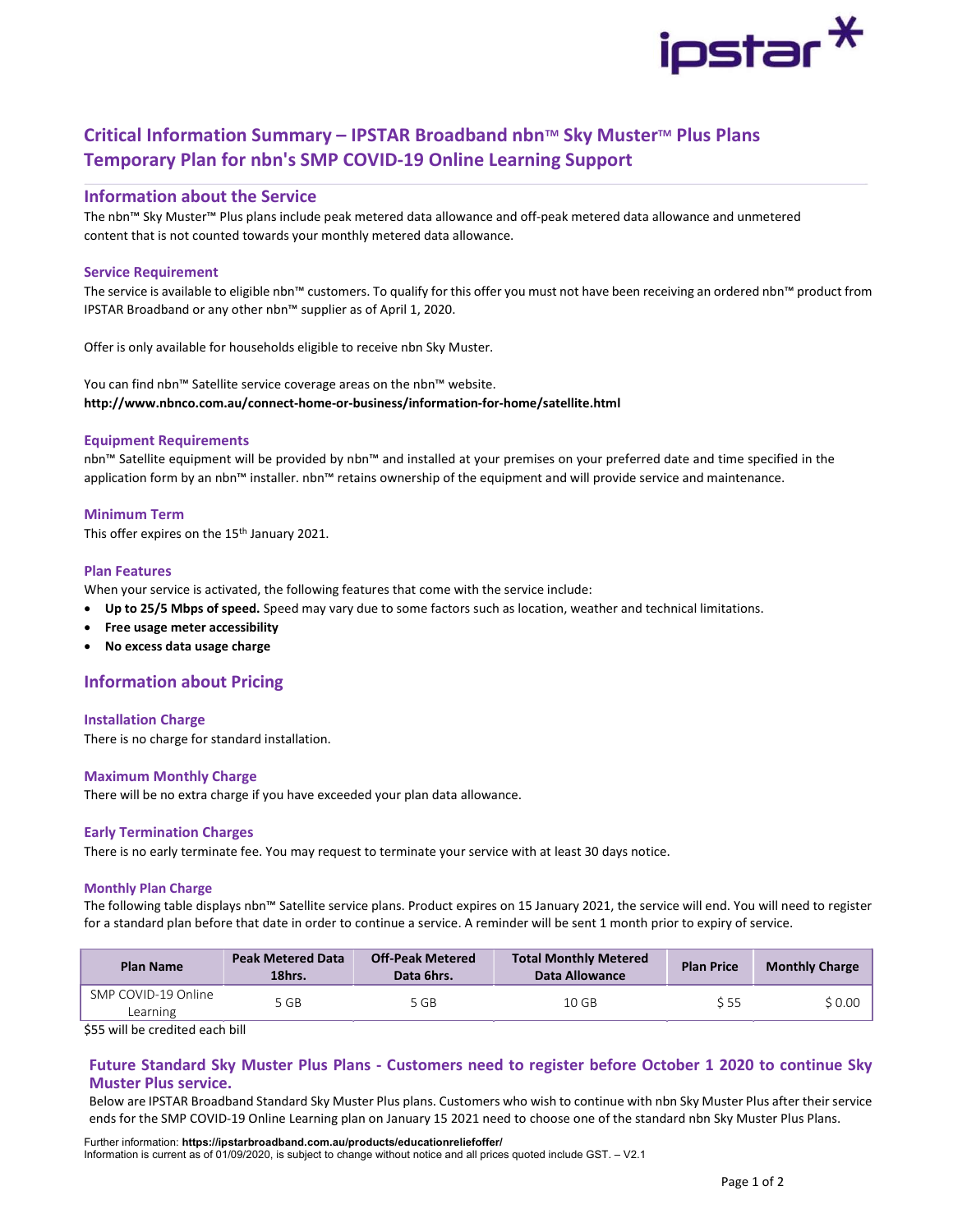

# Critical Information Summary – IPSTAR Broadband nbn™ Sky Muster™ Plus Plans Temporary Plan for nbn's SMP COVID-19 Online Learning Support

# Information about the Service

The nbn™ Sky Muster™ Plus plans include peak metered data allowance and off-peak metered data allowance and unmetered content that is not counted towards your monthly metered data allowance.

# Service Requirement

The service is available to eligible nbn™ customers. To qualify for this offer you must not have been receiving an ordered nbn™ product from IPSTAR Broadband or any other nbn™ supplier as of April 1, 2020.

Offer is only available for households eligible to receive nbn Sky Muster.

You can find nbn™ Satellite service coverage areas on the nbn™ website. http://www.nbnco.com.au/connect-home-or-business/information-for-home/satellite.html

# Equipment Requirements

nbn™ Satellite equipment will be provided by nbn™ and installed at your premises on your preferred date and time specified in the application form by an nbn™ installer. nbn™ retains ownership of the equipment and will provide service and maintenance.

# Minimum Term

This offer expires on the 15<sup>th</sup> January 2021.

## Plan Features

When your service is activated, the following features that come with the service include:

- Up to 25/5 Mbps of speed. Speed may vary due to some factors such as location, weather and technical limitations.
- Free usage meter accessibility
- No excess data usage charge

# Information about Pricing

### Installation Charge

There is no charge for standard installation.

### Maximum Monthly Charge

There will be no extra charge if you have exceeded your plan data allowance.

### Early Termination Charges

There is no early terminate fee. You may request to terminate your service with at least 30 days notice.

#### Monthly Plan Charge

The following table displays nbn™ Satellite service plans. Product expires on 15 January 2021, the service will end. You will need to register for a standard plan before that date in order to continue a service. A reminder will be sent 1 month prior to expiry of service.

| <b>Plan Name</b>                | <b>Peak Metered Data</b><br>18hrs. | <b>Off-Peak Metered</b><br>Data 6hrs. | <b>Total Monthly Metered</b><br>Data Allowance | <b>Plan Price</b> | <b>Monthly Charge</b> |  |
|---------------------------------|------------------------------------|---------------------------------------|------------------------------------------------|-------------------|-----------------------|--|
| SMP COVID-19 Online<br>Learning | 5 GB                               | 5 GB                                  | 10 GB                                          | S 55              | \$0.00                |  |

\$55 will be credited each bill

# Future Standard Sky Muster Plus Plans - Customers need to register before October 1 2020 to continue Sky Muster Plus service.

Below are IPSTAR Broadband Standard Sky Muster Plus plans. Customers who wish to continue with nbn Sky Muster Plus after their service ends for the SMP COVID-19 Online Learning plan on January 15 2021 need to choose one of the standard nbn Sky Muster Plus Plans.

Further information: https://ipstarbroadband.com.au/products/educationreliefoffer/ Information is current as of 01/09/2020, is subject to change without notice and all prices quoted include GST. – V2.1